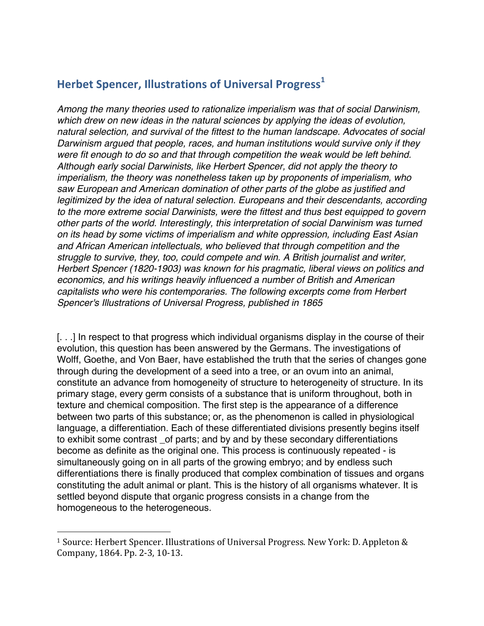## **Herbet Spencer, Illustrations of Universal Progress<sup>1</sup>**

*Among the many theories used to rationalize imperialism was that of social Darwinism, which drew on new ideas in the natural sciences by applying the ideas of evolution, natural selection, and survival of the fittest to the human landscape. Advocates of social Darwinism argued that people, races, and human institutions would survive only if they were fit enough to do so and that through competition the weak would be left behind. Although early social Darwinists, like Herbert Spencer, did not apply the theory to imperialism, the theory was nonetheless taken up by proponents of imperialism, who saw European and American domination of other parts of the globe as justified and legitimized by the idea of natural selection. Europeans and their descendants, according to the more extreme social Darwinists, were the fittest and thus best equipped to govern other parts of the world. Interestingly, this interpretation of social Darwinism was turned on its head by some victims of imperialism and white oppression, including East Asian and African American intellectuals, who believed that through competition and the struggle to survive, they, too, could compete and win. A British journalist and writer, Herbert Spencer (1820-1903) was known for his pragmatic, liberal views on politics and economics, and his writings heavily influenced a number of British and American capitalists who were his contemporaries. The following excerpts come from Herbert Spencer's Illustrations of Universal Progress, published in 1865*

[. . .] In respect to that progress which individual organisms display in the course of their evolution, this question has been answered by the Germans. The investigations of Wolff, Goethe, and Von Baer, have established the truth that the series of changes gone through during the development of a seed into a tree, or an ovum into an animal, constitute an advance from homogeneity of structure to heterogeneity of structure. In its primary stage, every germ consists of a substance that is uniform throughout, both in texture and chemical composition. The first step is the appearance of a difference between two parts of this substance; or, as the phenomenon is called in physiological language, a differentiation. Each of these differentiated divisions presently begins itself to exhibit some contrast \_of parts; and by and by these secondary differentiations become as definite as the original one. This process is continuously repeated - is simultaneously going on in all parts of the growing embryo; and by endless such differentiations there is finally produced that complex combination of tissues and organs constituting the adult animal or plant. This is the history of all organisms whatever. It is settled beyond dispute that organic progress consists in a change from the homogeneous to the heterogeneous.

 

<sup>&</sup>lt;sup>1</sup> Source: Herbert Spencer. Illustrations of Universal Progress. New York: D. Appleton  $\&$ Company, 1864. Pp. 2-3, 10-13.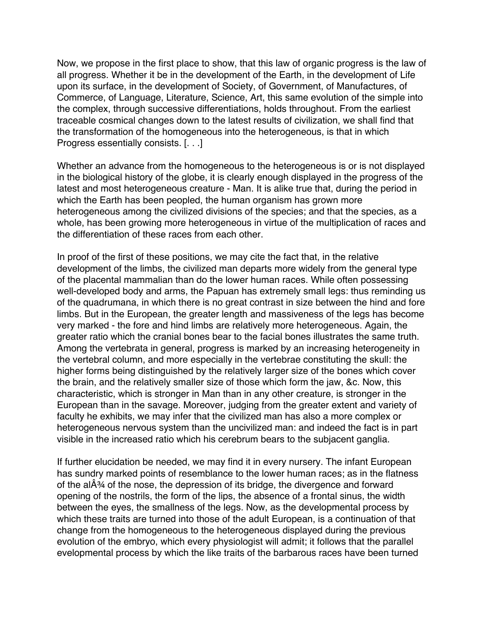Now, we propose in the first place to show, that this law of organic progress is the law of all progress. Whether it be in the development of the Earth, in the development of Life upon its surface, in the development of Society, of Government, of Manufactures, of Commerce, of Language, Literature, Science, Art, this same evolution of the simple into the complex, through successive differentiations, holds throughout. From the earliest traceable cosmical changes down to the latest results of civilization, we shall find that the transformation of the homogeneous into the heterogeneous, is that in which Progress essentially consists. [. . .]

Whether an advance from the homogeneous to the heterogeneous is or is not displayed in the biological history of the globe, it is clearly enough displayed in the progress of the latest and most heterogeneous creature - Man. It is alike true that, during the period in which the Earth has been peopled, the human organism has grown more heterogeneous among the civilized divisions of the species; and that the species, as a whole, has been growing more heterogeneous in virtue of the multiplication of races and the differentiation of these races from each other.

In proof of the first of these positions, we may cite the fact that, in the relative development of the limbs, the civilized man departs more widely from the general type of the placental mammalian than do the lower human races. While often possessing well-developed body and arms, the Papuan has extremely small legs: thus reminding us of the quadrumana, in which there is no great contrast in size between the hind and fore limbs. But in the European, the greater length and massiveness of the legs has become very marked - the fore and hind limbs are relatively more heterogeneous. Again, the greater ratio which the cranial bones bear to the facial bones illustrates the same truth. Among the vertebrata in general, progress is marked by an increasing heterogeneity in the vertebral column, and more especially in the vertebrae constituting the skull: the higher forms being distinguished by the relatively larger size of the bones which cover the brain, and the relatively smaller size of those which form the jaw, &c. Now, this characteristic, which is stronger in Man than in any other creature, is stronger in the European than in the savage. Moreover, judging from the greater extent and variety of faculty he exhibits, we may infer that the civilized man has also a more complex or heterogeneous nervous system than the uncivilized man: and indeed the fact is in part visible in the increased ratio which his cerebrum bears to the subjacent ganglia.

If further elucidation be needed, we may find it in every nursery. The infant European has sundry marked points of resemblance to the lower human races; as in the flatness of the alÂ¾ of the nose, the depression of its bridge, the divergence and forward opening of the nostrils, the form of the lips, the absence of a frontal sinus, the width between the eyes, the smallness of the legs. Now, as the developmental process by which these traits are turned into those of the adult European, is a continuation of that change from the homogeneous to the heterogeneous displayed during the previous evolution of the embryo, which every physiologist will admit; it follows that the parallel evelopmental process by which the like traits of the barbarous races have been turned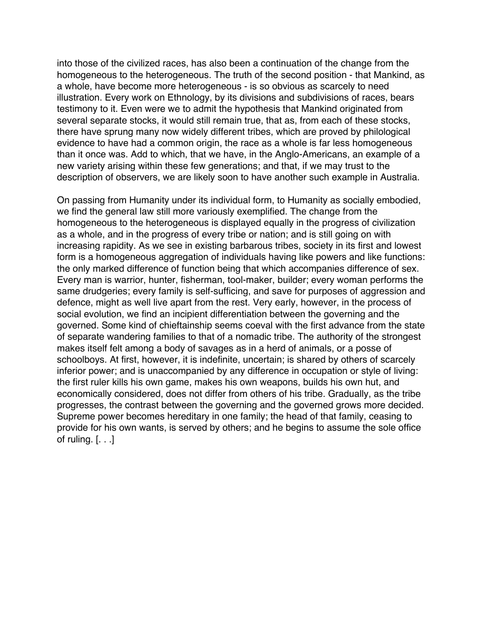into those of the civilized races, has also been a continuation of the change from the homogeneous to the heterogeneous. The truth of the second position - that Mankind, as a whole, have become more heterogeneous - is so obvious as scarcely to need illustration. Every work on Ethnology, by its divisions and subdivisions of races, bears testimony to it. Even were we to admit the hypothesis that Mankind originated from several separate stocks, it would still remain true, that as, from each of these stocks, there have sprung many now widely different tribes, which are proved by philological evidence to have had a common origin, the race as a whole is far less homogeneous than it once was. Add to which, that we have, in the Anglo-Americans, an example of a new variety arising within these few generations; and that, if we may trust to the description of observers, we are likely soon to have another such example in Australia.

On passing from Humanity under its individual form, to Humanity as socially embodied, we find the general law still more variously exemplified. The change from the homogeneous to the heterogeneous is displayed equally in the progress of civilization as a whole, and in the progress of every tribe or nation; and is still going on with increasing rapidity. As we see in existing barbarous tribes, society in its first and lowest form is a homogeneous aggregation of individuals having like powers and like functions: the only marked difference of function being that which accompanies difference of sex. Every man is warrior, hunter, fisherman, tool-maker, builder; every woman performs the same drudgeries; every family is self-sufficing, and save for purposes of aggression and defence, might as well live apart from the rest. Very early, however, in the process of social evolution, we find an incipient differentiation between the governing and the governed. Some kind of chieftainship seems coeval with the first advance from the state of separate wandering families to that of a nomadic tribe. The authority of the strongest makes itself felt among a body of savages as in a herd of animals, or a posse of schoolboys. At first, however, it is indefinite, uncertain; is shared by others of scarcely inferior power; and is unaccompanied by any difference in occupation or style of living: the first ruler kills his own game, makes his own weapons, builds his own hut, and economically considered, does not differ from others of his tribe. Gradually, as the tribe progresses, the contrast between the governing and the governed grows more decided. Supreme power becomes hereditary in one family; the head of that family, ceasing to provide for his own wants, is served by others; and he begins to assume the sole office of ruling.  $[ \ldots ]$